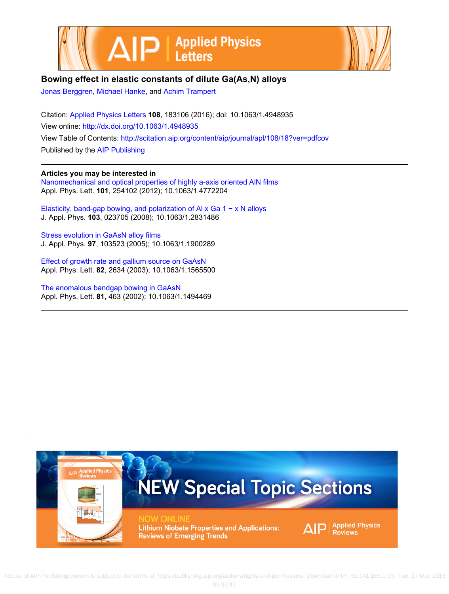



## **Bowing effect in elastic constants of dilute Ga(As,N) alloys**

[Jonas Berggren,](http://scitation.aip.org/search?value1=Jonas+Berggren&option1=author) [Michael Hanke](http://scitation.aip.org/search?value1=Michael+Hanke&option1=author), and [Achim Trampert](http://scitation.aip.org/search?value1=Achim+Trampert&option1=author)

Citation: [Applied Physics Letters](http://scitation.aip.org/content/aip/journal/apl?ver=pdfcov) **108**, 183106 (2016); doi: 10.1063/1.4948935 View online: <http://dx.doi.org/10.1063/1.4948935> View Table of Contents: <http://scitation.aip.org/content/aip/journal/apl/108/18?ver=pdfcov> Published by the [AIP Publishing](http://scitation.aip.org/content/aip?ver=pdfcov)

**Articles you may be interested in**

[Nanomechanical and optical properties of highly a-axis oriented AlN films](http://scitation.aip.org/content/aip/journal/apl/101/25/10.1063/1.4772204?ver=pdfcov) Appl. Phys. Lett. **101**, 254102 (2012); 10.1063/1.4772204

[Elasticity, band-gap bowing, and polarization of Al x Ga 1 − x N alloys](http://scitation.aip.org/content/aip/journal/jap/103/2/10.1063/1.2831486?ver=pdfcov) J. Appl. Phys. **103**, 023705 (2008); 10.1063/1.2831486

[Stress evolution in GaAsN alloy films](http://scitation.aip.org/content/aip/journal/jap/97/10/10.1063/1.1900289?ver=pdfcov) J. Appl. Phys. **97**, 103523 (2005); 10.1063/1.1900289

[Effect of growth rate and gallium source on GaAsN](http://scitation.aip.org/content/aip/journal/apl/82/16/10.1063/1.1565500?ver=pdfcov) Appl. Phys. Lett. **82**, 2634 (2003); 10.1063/1.1565500

[The anomalous bandgap bowing in GaAsN](http://scitation.aip.org/content/aip/journal/apl/81/3/10.1063/1.1494469?ver=pdfcov) Appl. Phys. Lett. **81**, 463 (2002); 10.1063/1.1494469

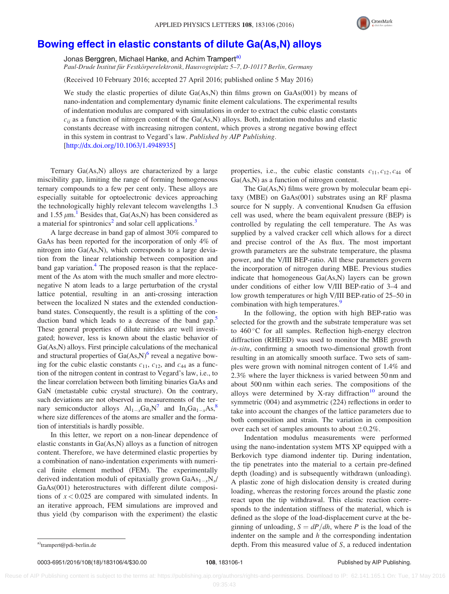

## [Bowing effect in elastic constants of dilute Ga\(As,N\) alloys](http://dx.doi.org/10.1063/1.4948935)

Jonas Berggren, Michael Hanke, and Achim Trampert<sup>a)</sup> Paul-Drude Institut für Festkörperelektronik, Hausvogteiplatz 5–7, D-10117 Berlin, Germany

(Received 10 February 2016; accepted 27 April 2016; published online 5 May 2016)

We study the elastic properties of dilute  $Ga(As,N)$  thin films grown on  $GaAs(001)$  by means of nano-indentation and complementary dynamic finite element calculations. The experimental results of indentation modulus are compared with simulations in order to extract the cubic elastic constants  $c_{ij}$  as a function of nitrogen content of the Ga(As,N) alloys. Both, indentation modulus and elastic constants decrease with increasing nitrogen content, which proves a strong negative bowing effect in this system in contrast to Vegard's law. Published by AIP Publishing. [\[http://dx.doi.org/10.1063/1.4948935](http://dx.doi.org/10.1063/1.4948935)]

Ternary Ga(As,N) alloys are characterized by a large miscibility gap, limiting the range of forming homogeneous ternary compounds to a few per cent only. These alloys are especially suitable for optoelectronic devices approaching the technologically highly relevant telecom wavelengths 1.3 and [1](#page-4-0).55  $\mu$ m.<sup>1</sup> Besides that, Ga(As,N) has been considered as a material for spintronics<sup>[2](#page-4-0)</sup> and solar cell applications.<sup>[3](#page-4-0)</sup>

A large decrease in band gap of almost 30% compared to GaAs has been reported for the incorporation of only 4% of nitrogen into Ga(As,N), which corresponds to a large deviation from the linear relationship between composition and band gap variation.<sup>4</sup> The proposed reason is that the replacement of the As atom with the much smaller and more electronegative N atom leads to a large perturbation of the crystal lattice potential, resulting in an anti-crossing interaction between the localized N states and the extended conductionband states. Consequently, the result is a splitting of the conduction band which leads to a decrease of the band gap.<sup>5</sup> These general properties of dilute nitrides are well investigated; however, less is known about the elastic behavior of Ga(As,N) alloys. First principle calculations of the mechanical and structural properties of  $Ga(As,N)$ <sup>[6](#page-4-0)</sup> reveal a negative bowing for the cubic elastic constants  $c_{11}$ ,  $c_{12}$ , and  $c_{44}$  as a function of the nitrogen content in contrast to Vegard's law, i.e., to the linear correlation between both limiting binaries GaAs and GaN (metastable cubic crystal structure). On the contrary, such deviations are not observed in measurements of the ternary semiconductor alloys  $Al_{1-x}Ga_xN^7$  $Al_{1-x}Ga_xN^7$  and  $In_xGa_{1-x}As$ ,<sup>8</sup> where size differences of the atoms are smaller and the formation of interstitials is hardly possible.

In this letter, we report on a non-linear dependence of elastic constants in Ga(As,N) alloys as a function of nitrogen content. Therefore, we have determined elastic properties by a combination of nano-indentation experiments with numerical finite element method (FEM). The experimentally derived indentation moduli of epitaxially grown  $GaAs_{1-x}N_x/$ GaAs(001) heterostructures with different dilute compositions of  $x < 0.025$  are compared with simulated indents. In an iterative approach, FEM simulations are improved and thus yield (by comparison with the experiment) the elastic properties, i.e., the cubic elastic constants  $c_{11}, c_{12}, c_{44}$  of Ga(As,N) as a function of nitrogen content.

The Ga(As,N) films were grown by molecular beam epitaxy (MBE) on GaAs(001) substrates using an RF plasma source for N supply. A conventional Knudsen Ga effusion cell was used, where the beam equivalent pressure (BEP) is controlled by regulating the cell temperature. The As was supplied by a valved cracker cell which allows for a direct and precise control of the As flux. The most important growth parameters are the substrate temperature, the plasma power, and the V/III BEP-ratio. All these parameters govern the incorporation of nitrogen during MBE. Previous studies indicate that homogeneous Ga(As,N) layers can be grown under conditions of either low V/III BEP-ratio of 3–4 and low growth temperatures or high V/III BEP-ratio of 25–50 in combination with high temperatures.<sup>[9](#page-4-0)</sup>

In the following, the option with high BEP-ratio was selected for the growth and the substrate temperature was set to 460 °C for all samples. Reflection high-energy electron diffraction (RHEED) was used to monitor the MBE growth in-situ, confirming a smooth two-dimensional growth front resulting in an atomically smooth surface. Two sets of samples were grown with nominal nitrogen content of 1.4% and 2.3% where the layer thickness is varied between 50 nm and about 500 nm within each series. The compositions of the alloys were determined by X-ray diffraction<sup>[10](#page-4-0)</sup> around the symmetric (004) and asymmetric (224) reflections in order to take into account the changes of the lattice parameters due to both composition and strain. The variation in composition over each set of samples amounts to about  $\pm 0.2\%$ .

Indentation modulus measurements were performed using the nano-indentation system MTS XP equipped with a Berkovich type diamond indenter tip. During indentation, the tip penetrates into the material to a certain pre-defined depth (loading) and is subsequently withdrawn (unloading). A plastic zone of high dislocation density is created during loading, whereas the restoring forces around the plastic zone react upon the tip withdrawal. This elastic reaction corresponds to the indentation stiffness of the material, which is defined as the slope of the load-displacement curve at the beginning of unloading,  $S = dP/dh$ , where P is the load of the indenter on the sample and  $h$  the corresponding indentation a)[trampert@pdi-berlin.de](mailto:trampert@pdi-berlin.de) **a** contract the contract of S, a reduced indentation and the depth. From this measured value of S, a reduced indentation

0003-6951/2016/108(18)/183106/4/\$30.00 108, 183106-1 108, 183106-1 Published by AIP Publishing.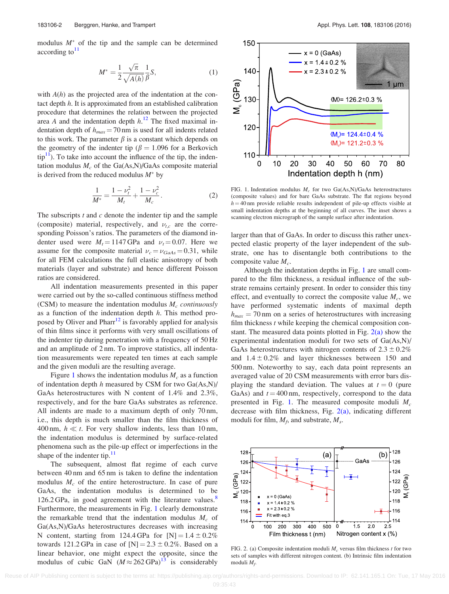<span id="page-2-0"></span>modulus  $M^*$  of the tip and the sample can be determined  $according to<sup>11</sup>$  $according to<sup>11</sup>$  $according to<sup>11</sup>$ 

$$
M^* = \frac{1}{2} \frac{\sqrt{\pi}}{\sqrt{A(h)}} \frac{1}{\beta} S,\tag{1}
$$

with  $A(h)$  as the projected area of the indentation at the contact depth  $h$ . It is approximated from an established calibration procedure that determines the relation between the projected area A and the indentation depth  $h<sup>12</sup>$  $h<sup>12</sup>$  $h<sup>12</sup>$ . The fixed maximal indentation depth of  $h_{max} = 70$  nm is used for all indents related to this work. The parameter  $\beta$  is a constant which depends on the geometry of the indenter tip ( $\beta = 1.096$  for a Berkovich  $tip<sup>11</sup>$ ). To take into account the influence of the tip, the indentation modulus  $M_c$  of the Ga(As,N)/GaAs composite material is derived from the reduced modulus  $M^*$  by

$$
\frac{1}{M^*} = \frac{1 - \nu_t^2}{M_t} + \frac{1 - \nu_c^2}{M_c}.
$$
 (2)

The subscripts  $t$  and  $c$  denote the indenter tip and the sample (composite) material, respectively, and  $\nu_{t,c}$  are the corresponding Poisson's ratios. The parameters of the diamond indenter used were  $M_t = 1147$  GPa and  $\nu_t = 0.07$ . Here we assume for the composite material  $v_c = v_{GaAs} = 0.31$ , while for all FEM calculations the full elastic anisotropy of both materials (layer and substrate) and hence different Poisson ratios are considered.

All indentation measurements presented in this paper were carried out by the so-called continuous stiffness method (CSM) to measure the indentation modulus  $M_c$  continuously as a function of the indentation depth  $h$ . This method pro-posed by Oliver and Pharr<sup>[12](#page-4-0)</sup> is favorably applied for analysis of thin films since it performs with very small oscillations of the indenter tip during penetration with a frequency of 50 Hz and an amplitude of 2 nm. To improve statistics, all indentation measurements were repeated ten times at each sample and the given moduli are the resulting average.

Figure 1 shows the indentation modulus  $M_c$  as a function of indentation depth  $h$  measured by CSM for two  $Ga(As,N)/$ GaAs heterostructures with N content of 1.4% and 2.3%, respectively, and for the bare GaAs substrates as reference. All indents are made to a maximum depth of only 70 nm, i.e., this depth is much smaller than the film thickness of 400 nm,  $h \ll t$ . For very shallow indents, less than 10 nm, the indentation modulus is determined by surface-related phenomena such as the pile-up effect or imperfections in the shape of the indenter tip. $^{11}$  $^{11}$  $^{11}$ 

The subsequent, almost flat regime of each curve between 40 nm and 65 nm is taken to define the indentation modulus  $M_c$  of the entire heterostructure. In case of pure GaAs, the indentation modulus is determined to be 126.2 GPa, in good agreement with the literature values. $8$ Furthermore, the measurements in Fig. 1 clearly demonstrate the remarkable trend that the indentation modulus  $M_c$  of Ga(As,N)/GaAs heterostructures decreases with increasing N content, starting from 124.4 GPa for  $[N] = 1.4 \pm 0.2\%$ towards 121.2 GPa in case of  $[N] = 2.3 \pm 0.2\%$ . Based on a linear behavior, one might expect the opposite, since the modulus of cubic GaN  $(M \approx 262 \text{ GPa})^{13}$  $(M \approx 262 \text{ GPa})^{13}$  $(M \approx 262 \text{ GPa})^{13}$  is considerably



FIG. 1. Indentation modulus  $M_c$  for two Ga(As,N)/GaAs heterostructures (composite values) and for bare GaAs substrate. The flat regions beyond  $h = 40$  nm provide reliable results independent of pile-up effects visible at small indentation depths at the beginning of all curves. The inset shows a scanning electron micrograph of the sample surface after indentation.

larger than that of GaAs. In order to discuss this rather unexpected elastic property of the layer independent of the substrate, one has to disentangle both contributions to the composite value  $M_c$ .

Although the indentation depths in Fig. 1 are small compared to the film thickness, a residual influence of the substrate remains certainly present. In order to consider this tiny effect, and eventually to correct the composite value  $M_c$ , we have performed systematic indents of maximal depth  $h_{max}$  = 70 nm on a series of heterostructures with increasing film thickness  $t$  while keeping the chemical composition constant. The measured data points plotted in Fig.  $2(a)$  show the experimental indentation moduli for two sets of Ga(As,N)/ GaAs heterostructures with nitrogen contents of  $2.3 \pm 0.2\%$ and  $1.4 \pm 0.2\%$  and layer thicknesses between 150 and 500 nm. Noteworthy to say, each data point represents an averaged value of 20 CSM measurements with error bars displaying the standard deviation. The values at  $t = 0$  (pure GaAs) and  $t = 400$  nm, respectively, correspond to the data presented in Fig. 1. The measured composite moduli  $M_c$ decrease with film thickness, Fig.  $2(a)$ , indicating different moduli for film,  $M_f$ , and substrate,  $M_s$ .



FIG. 2. (a) Composite indentation moduli  $M_c$  versus film thickness t for two sets of samples with different nitrogen content. (b) Intrinsic film indentation moduli  $M_f$ .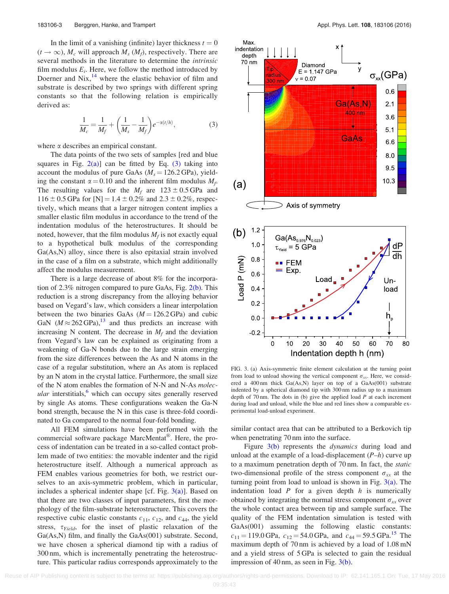<span id="page-3-0"></span>In the limit of a vanishing (infinite) layer thickness  $t = 0$  $(t \to \infty)$ ,  $M_c$  will approach  $M_s$  ( $M_f$ ), respectively. There are several methods in the literature to determine the intrinsic film modulus  $E_i$ . Here, we follow the method introduced by Doerner and  $Nix,$ <sup>[14](#page-4-0)</sup> where the elastic behavior of film and substrate is described by two springs with different spring constants so that the following relation is empirically derived as:

$$
\frac{1}{M_c} = \frac{1}{M_f} + \left(\frac{1}{M_s} - \frac{1}{M_f}\right) e^{-\alpha(t/h)},
$$
\n(3)

where  $\alpha$  describes an empirical constant.

The data points of the two sets of samples [red and blue squares in Fig.  $2(a)$ ] can be fitted by Eq. (3) taking into account the modulus of pure GaAs ( $M_s = 126.2$  GPa), yielding the constant  $\alpha = 0.10$  and the inherent film modulus  $M_f$ . The resulting values for the  $M_f$  are 123 ± 0.5 GPa and  $116 \pm 0.5$  GPa for [N] = 1.4  $\pm$  0.2% and 2.3  $\pm$  0.2%, respectively, which means that a larger nitrogen content implies a smaller elastic film modulus in accordance to the trend of the indentation modulus of the heterostructures. It should be noted, however, that the film modulus  $M_f$  is not exactly equal to a hypothetical bulk modulus of the corresponding Ga(As,N) alloy, since there is also epitaxial strain involved in the case of a film on a substrate, which might additionally affect the modulus measurement.

There is a large decrease of about 8% for the incorporation of 2.3% nitrogen compared to pure GaAs, Fig. [2\(b\)](#page-2-0). This reduction is a strong discrepancy from the alloying behavior based on Vegard's law, which considers a linear interpolation between the two binaries GaAs  $(M = 126.2 \text{ GPa})$  and cubic GaN  $(M \approx 262 \text{ GPa})$ ,<sup>13</sup> and thus predicts an increase with increasing N content. The decrease in  $M_f$  and the deviation from Vegard's law can be explained as originating from a weakening of Ga-N bonds due to the large strain emerging from the size differences between the As and N atoms in the case of a regular substitution, where an As atom is replaced by an N atom in the crystal lattice. Furthermore, the small size of the N atom enables the formation of N-N and N-As molecular interstitials, $\delta$  which can occupy sites generally reserved by single As atoms. These configurations weaken the Ga-N bond strength, because the N in this case is three-fold coordinated to Ga compared to the normal four-fold bonding.

All FEM simulations have been performed with the commercial software package MarcMentat®. Here, the process of indentation can be treated in a so-called contact problem made of two entities: the movable indenter and the rigid heterostructure itself. Although a numerical approach as FEM enables various geometries for both, we restrict ourselves to an axis-symmetric problem, which in particular, includes a spherical indenter shape [cf. Fig.  $3(a)$ ]. Based on that there are two classes of input parameters, first the morphology of the film-substrate heterostructure. This covers the respective cubic elastic constants  $c_{11}$ ,  $c_{12}$ , and  $c_{44}$ , the yield stress,  $\tau_{Yield}$ , for the inset of plastic relaxation of the Ga(As,N) film, and finally the GaAs(001) substrate. Second, we have chosen a spherical diamond tip with a radius of 300 nm, which is incrementally penetrating the heterostructure. This particular radius corresponds approximately to the



FIG. 3. (a) Axis-symmetric finite element calculation at the turning point from load to unload showing the vertical component  $\sigma_{xx}$ . Here, we considered a 400 nm thick Ga(As,N) layer on top of a GaAs(001) substrate indented by a spherical diamond tip with 300 nm radius up to a maximum depth of 70 nm. The dots in (b) give the applied load  $P$  at each increment during load and unload, while the blue and red lines show a comparable experimental load-unload experiment.

similar contact area that can be attributed to a Berkovich tip when penetrating 70 nm into the surface.

Figure 3(b) represents the *dynamics* during load and unload at the example of a load-displacement  $(P-h)$  curve up to a maximum penetration depth of 70 nm. In fact, the static two-dimensional profile of the stress component  $\sigma_{xx}$  at the turning point from load to unload is shown in Fig.  $3(a)$ . The indentation load  $P$  for a given depth  $h$  is numerically obtained by integrating the normal stress component  $\sigma_{xx}$  over the whole contact area between tip and sample surface. The quality of the FEM indentation simulation is tested with GaAs(001) assuming the following elastic constants:  $c_{11} = 119.0 \text{ GPa}$ ,  $c_{12} = 54.0 \text{ GPa}$ , and  $c_{44} = 59.5 \text{ GPa}$ .<sup>[15](#page-4-0)</sup> The maximum depth of 70 nm is achieved by a load of 1.08 mN and a yield stress of 5 GPa is selected to gain the residual impression of 40 nm, as seen in Fig. 3(b).